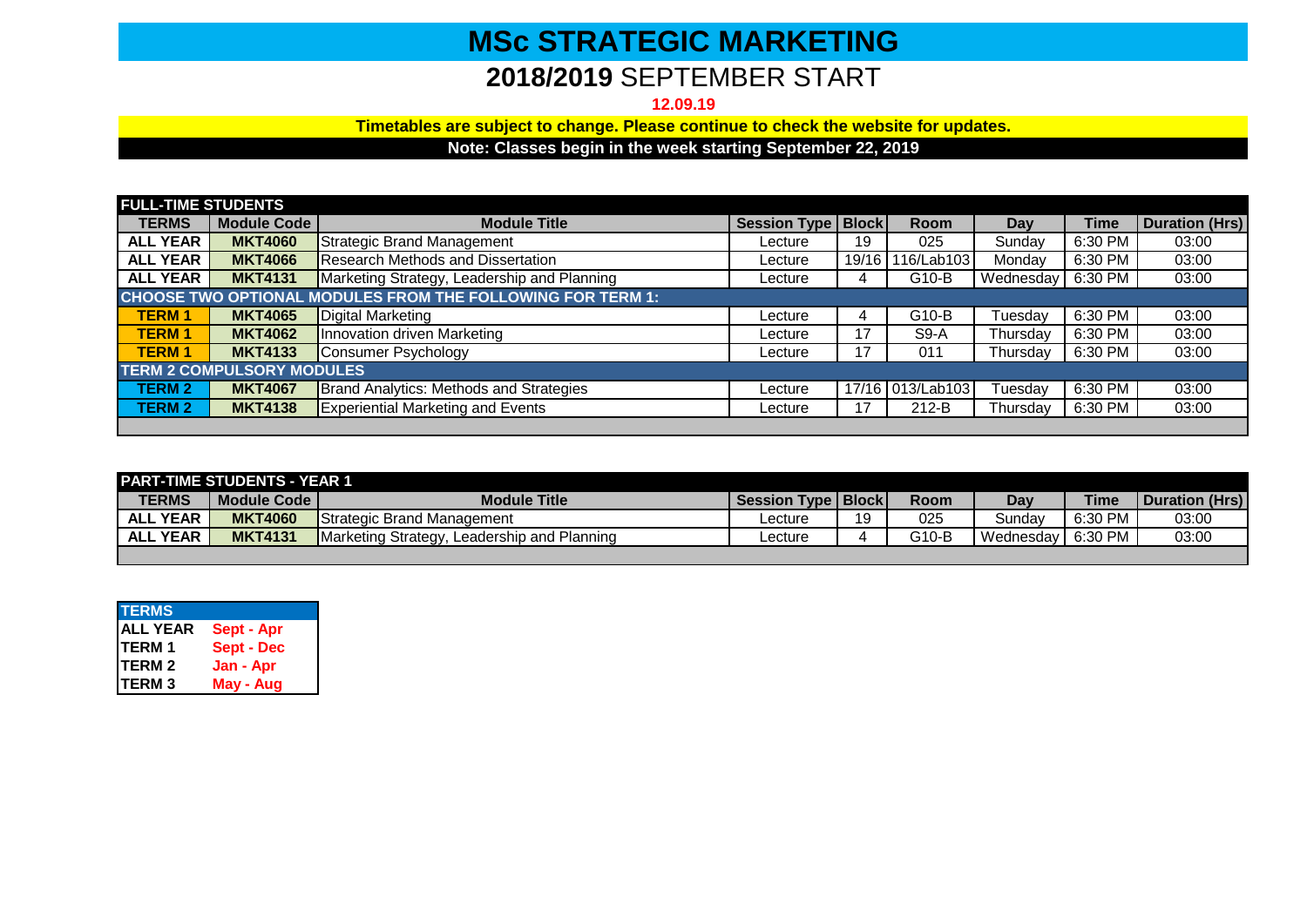## **MSc STRATEGIC MARKETING**

## **2018/2019** SEPTEMBER START

**12.09.19**

**Timetables are subject to change. Please continue to check the website for updates.**

**Note: Classes begin in the week starting September 22, 2019**

| <b>FULL-TIME STUDENTS</b>                                  |                    |                                             |                               |       |                  |           |         |                       |
|------------------------------------------------------------|--------------------|---------------------------------------------|-------------------------------|-------|------------------|-----------|---------|-----------------------|
| <b>TERMS</b>                                               | <b>Module Code</b> | <b>Module Title</b>                         | <b>Session Type   Block  </b> |       | <b>Room</b>      | Day       | Time    | <b>Duration (Hrs)</b> |
| <b>ALL YEAR</b>                                            | <b>MKT4060</b>     | Strategic Brand Management                  | Lecture                       | 19    | 025              | Sundav    | 6:30 PM | 03:00                 |
| <b>ALL YEAR</b>                                            | <b>MKT4066</b>     | <b>Research Methods and Dissertation</b>    | Lecture                       | 19/16 | 116/Lab103       | Mondav    | 6:30 PM | 03:00                 |
| <b>ALL YEAR</b>                                            | <b>MKT4131</b>     | Marketing Strategy, Leadership and Planning | Lecture                       | 4     | G10-B            | Wednesday | 6:30 PM | 03:00                 |
| CHOOSE TWO OPTIONAL MODULES FROM THE FOLLOWING FOR TERM 1: |                    |                                             |                               |       |                  |           |         |                       |
| <b>TERM1</b>                                               | <b>MKT4065</b>     | Digital Marketing                           | Lecture                       |       | G10-B            | Tuesdav   | 6:30 PM | 03:00                 |
| <b>TERM1</b>                                               | <b>MKT4062</b>     | Innovation driven Marketing                 | Lecture                       | 17    | $S9-A$           | Thursday  | 6:30 PM | 03:00                 |
| <b>TERM1</b>                                               | <b>MKT4133</b>     | Consumer Psychology                         | Lecture                       | 17    | 011              | Thursday  | 6:30 PM | 03:00                 |
| <b>TERM 2 COMPULSORY MODULES</b>                           |                    |                                             |                               |       |                  |           |         |                       |
| <b>TERM 2</b>                                              | <b>MKT4067</b>     | Brand Analytics: Methods and Strategies     | Lecture                       |       | 17/16 013/Lab103 | ⊺uesdav   | 6:30 PM | 03:00                 |
| <b>TERM 2</b>                                              | <b>MKT4138</b>     | <b>Experiential Marketing and Events</b>    | Lecture                       | 17    | $212-B$          | Thursday  | 6:30 PM | 03:00                 |
|                                                            |                    |                                             |                               |       |                  |           |         |                       |

| <b>PART-TIME STUDENTS - YEAR 1</b> |                |                                             |                             |    |             |                       |             |                       |  |
|------------------------------------|----------------|---------------------------------------------|-----------------------------|----|-------------|-----------------------|-------------|-----------------------|--|
| <b>TERMS</b>                       | Module Code    | <b>Module Title</b>                         | <b>Session Type   Block</b> |    | <b>Room</b> | Day                   | <b>Time</b> | <b>Duration (Hrs)</b> |  |
| <b>ALL YEAR</b>                    | <b>MKT4060</b> | <b>IStrategic Brand Management</b>          | ∟ecture                     | 10 | 025         | Sundav                | 6:30 PM     | 03:00                 |  |
| <b>ALL YEAR</b>                    | <b>MKT4131</b> | Marketing Strategy, Leadership and Planning | ∟ecture                     |    | G10-B       | l Wednesdav I 6:30 PM |             | 03:00                 |  |
|                                    |                |                                             |                             |    |             |                       |             |                       |  |

| <b>TERMS</b>    |                   |
|-----------------|-------------------|
| <b>ALL YEAR</b> | Sept - Apr        |
| <b>TERM1</b>    | <b>Sept - Dec</b> |
| <b>TERM2</b>    | Jan - Apr         |
| <b>TERM3</b>    | May - Aug         |